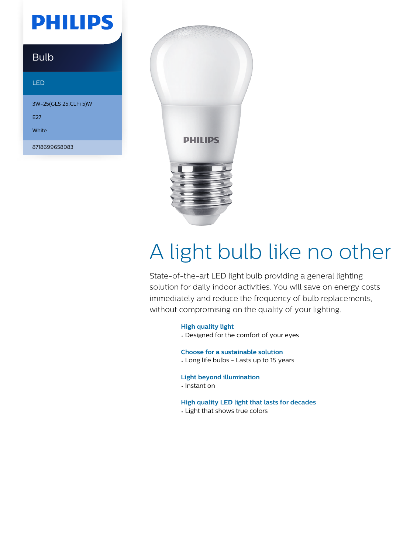## **PHILIPS**

### Bulb

#### LED

3W-25(GLS 25,CLFi 5)W E27 White 8718699658083



# A light bulb like no other

State-of-the-art LED light bulb providing a general lighting solution for daily indoor activities. You will save on energy costs immediately and reduce the frequency of bulb replacements, without compromising on the quality of your lighting.

#### **High quality light**

• Designed for the comfort of your eyes

**Choose for a sustainable solution**

• Long life bulbs - Lasts up to 15 years

#### **Light beyond illumination**

• Instant on

#### **High quality LED light that lasts for decades**

• Light that shows true colors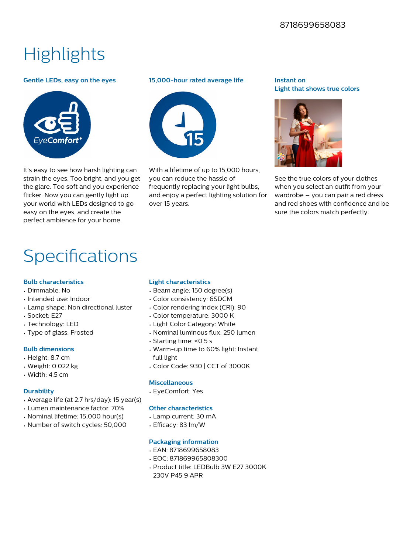#### 8718699658083

## **Highlights**

#### **Gentle LEDs, easy on the eyes**



It's easy to see how harsh lighting can strain the eyes. Too bright, and you get the glare. Too soft and you experience flicker. Now you can gently light up your world with LEDs designed to go easy on the eyes, and create the perfect ambience for your home.

#### **15,000-hour rated average life**



With a lifetime of up to 15,000 hours. you can reduce the hassle of frequently replacing your light bulbs, and enjoy a perfect lighting solution for over 15 years.

#### **Instant on Light that shows true colors**



See the true colors of your clothes when you select an outfit from your wardrobe – you can pair a red dress and red shoes with confidence and be sure the colors match perfectly.

### Specifications

#### **Bulb characteristics**

- Dimmable: No
- Intended use: Indoor
- Lamp shape: Non directional luster
- Socket: E27
- Technology: LED
- Type of glass: Frosted

#### **Bulb dimensions**

- Height: 8.7 cm
- Weight: 0.022 kg
- Width: 4.5 cm

#### **Durability**

- Average life (at 2.7 hrs/day): 15 year(s)
- Lumen maintenance factor: 70%
- Nominal lifetime: 15,000 hour(s)
- Number of switch cycles: 50,000

#### **Light characteristics**

- Beam angle: 150 degree(s)
- Color consistency: 6SDCM
- Color rendering index (CRI): 90
- Color temperature: 3000 K
- Light Color Category: White
- Nominal luminous flux: 250 lumen
- Starting time: <0.5 s
- Warm-up time to 60% light: Instant full light
- Color Code: 930 | CCT of 3000K

#### **Miscellaneous**

• EyeComfort: Yes

#### **Other characteristics**

- Lamp current: 30 mA
- $\cdot$  Efficacy: 83 lm/W

#### **Packaging information**

- EAN: 8718699658083
- EOC: 871869965808300
- Product title: LEDBulb 3W E27 3000K 230V P45 9 APR